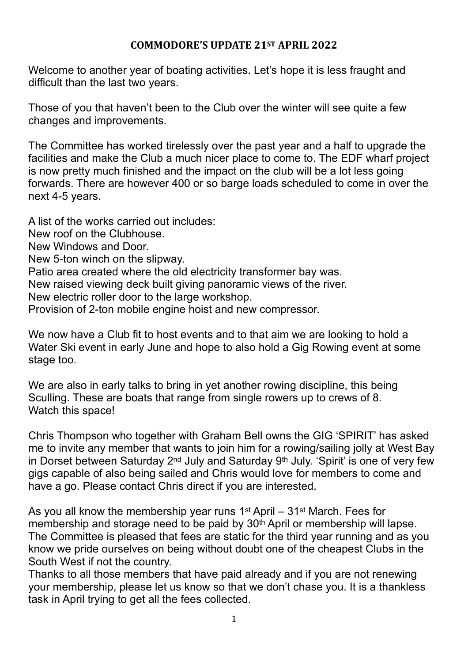## **COMMODORE'S UPDATE 21ST APRIL 2022**

Welcome to another year of boating activities. Let's hope it is less fraught and difficult than the last two years.

Those of you that haven't been to the Club over the winter will see quite a few changes and improvements.

The Committee has worked tirelessly over the past year and a half to upgrade the facilities and make the Club a much nicer place to come to. The EDF wharf project is now pretty much finished and the impact on the club will be a lot less going forwards. There are however 400 or so barge loads scheduled to come in over the next 4-5 years.

A list of the works carried out includes: New roof on the Clubhouse. New Windows and Door. New 5-ton winch on the slipway. Patio area created where the old electricity transformer bay was. New raised viewing deck built giving panoramic views of the river. New electric roller door to the large workshop. Provision of 2-ton mobile engine hoist and new compressor.

We now have a Club fit to host events and to that aim we are looking to hold a Water Ski event in early June and hope to also hold a Gig Rowing event at some stage too.

We are also in early talks to bring in yet another rowing discipline, this being Sculling. These are boats that range from single rowers up to crews of 8. Watch this space!

Chris Thompson who together with Graham Bell owns the GIG 'SPIRIT' has asked me to invite any member that wants to join him for a rowing/sailing jolly at West Bay in Dorset between Saturday 2nd July and Saturday 9th July. 'Spirit' is one of very few gigs capable of also being sailed and Chris would love for members to come and have a go. Please contact Chris direct if you are interested.

As you all know the membership year runs 1st April – 31st March. Fees for membership and storage need to be paid by 30th April or membership will lapse. The Committee is pleased that fees are static for the third year running and as you know we pride ourselves on being without doubt one of the cheapest Clubs in the South West if not the country.

Thanks to all those members that have paid already and if you are not renewing your membership, please let us know so that we don't chase you. It is a thankless task in April trying to get all the fees collected.